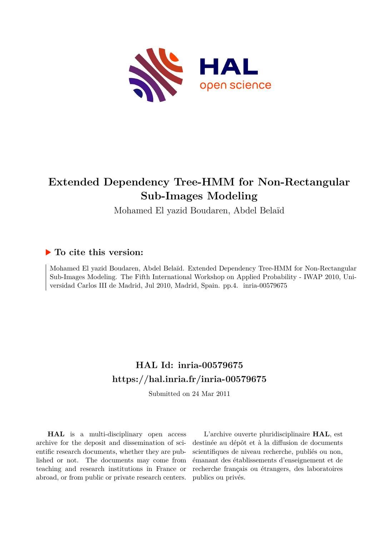

# **Extended Dependency Tree-HMM for Non-Rectangular Sub-Images Modeling**

Mohamed El yazid Boudaren, Abdel Belaïd

## **To cite this version:**

Mohamed El yazid Boudaren, Abdel Belaïd. Extended Dependency Tree-HMM for Non-Rectangular Sub-Images Modeling. The Fifth International Workshop on Applied Probability - IWAP 2010, Universidad Carlos III de Madrid, Jul 2010, Madrid, Spain. pp.4. inria-00579675

## **HAL Id: inria-00579675 <https://hal.inria.fr/inria-00579675>**

Submitted on 24 Mar 2011

**HAL** is a multi-disciplinary open access archive for the deposit and dissemination of scientific research documents, whether they are published or not. The documents may come from teaching and research institutions in France or abroad, or from public or private research centers.

L'archive ouverte pluridisciplinaire **HAL**, est destinée au dépôt et à la diffusion de documents scientifiques de niveau recherche, publiés ou non, émanant des établissements d'enseignement et de recherche français ou étrangers, des laboratoires publics ou privés.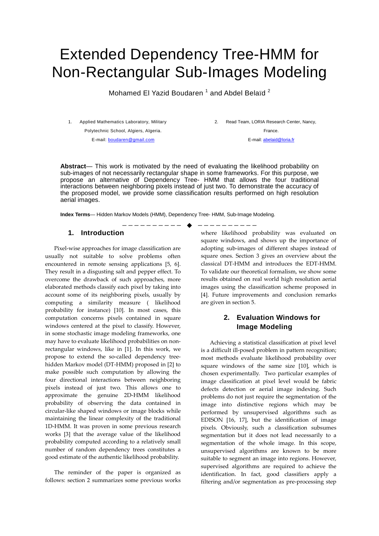# Extended Dependency Tree-HMM for Non-Rectangular Sub-Images Modeling

Mohamed El Yazid Boudaren  $^1$  and Abdel Belaïd  $^2$ 

1. Applied Mathematics Laboratory, Military Polytechnic School, Algiers, Algeria.

2. Read Team, LORIA Research Center, Nancy, France.

E-mail: boudaren@gmail.com

E-mail: abelaid@loria.fr

**Abstract**— This work is motivated by the need of evaluating the likelihood probability on sub-images of not necessarily rectangular shape in some frameworks. For this purpose, we propose an alternative of Dependency Tree- HMM that allows the four traditional interactions between neighboring pixels instead of just two. To demonstrate the accuracy of the proposed model, we provide some classification results performed on high resolution aerial images.

**Index Terms**— Hidden Markov Models (HMM), Dependency Tree- HMM, Sub-Image Modeling.

#### **1. Introduction**

Pixel-wise approaches for image classification are usually not suitable to solve problems often encountered in remote sensing applications [5, 6]. They result in a disgusting salt and pepper effect. To overcome the drawback of such approaches, more elaborated methods classify each pixel by taking into account some of its neighboring pixels, usually by computing a similarity measure ( likelihood probability for instance) [10]. In most cases, this computation concerns pixels contained in square windows centered at the pixel to classify. However, in some stochastic image modeling frameworks, one may have to evaluate likelihood probabilities on nonrectangular windows, like in [1]. In this work, we propose to extend the so-called dependency treehidden Markov model (DT-HMM) proposed in [2] to make possible such computation by allowing the four directional interactions between neighboring pixels instead of just two. This allows one to approximate the genuine 2D-HMM likelihood probability of observing the data contained in circular-like shaped windows or image blocks while maintaining the linear complexity of the traditional 1D-HMM. It was proven in some previous research works [3] that the average value of the likelihood probability computed according to a relatively small number of random dependency trees constitutes a good estimate of the authentic likelihood probability.

The reminder of the paper is organized as follows: section 2 summarizes some previous works

—————————— ————————— where likelihood probability was evaluated on square windows, and shows up the importance of adopting sub-images of different shapes instead of square ones. Section 3 gives an overview about the classical DT-HMM and introduces the EDT-HMM. To validate our theoretical formalism, we show some results obtained on real world high resolution aerial images using the classification scheme proposed in [4]. Future improvements and conclusion remarks are given in section 5.

## **2. Evaluation Windows for Image Modeling**

Achieving a statistical classification at pixel level is a difficult ill-posed problem in pattern recognition; most methods evaluate likelihood probability over square windows of the same size [10], which is chosen experimentally. Two particular examples of image classification at pixel level would be fabric defects detection or aerial image indexing. Such problems do not just require the segmentation of the image into distinctive regions which may be performed by unsupervised algorithms such as EDISON [16, 17], but the identification of image pixels. Obviously, such a classification subsumes segmentation but it does not lead necessarily to a segmentation of the whole image. In this scope, unsupervised algorithms are known to be more suitable to segment an image into regions. However, supervised algorithms are required to achieve the identification. In fact, good classifiers apply a filtering and/or segmentation as pre-processing step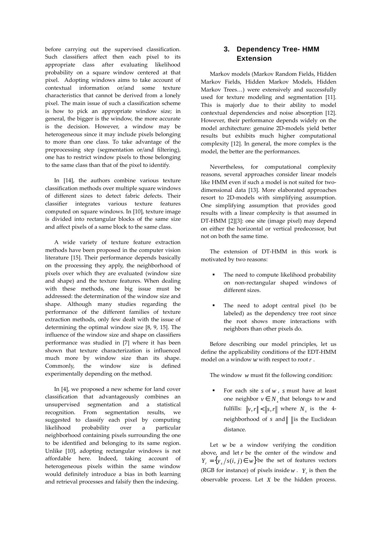before carrying out the supervised classification. Such classifiers affect then each pixel to its appropriate class after evaluating likelihood probability on a square window centered at that pixel. Adopting windows aims to take account of contextual information or/and some texture characteristics that cannot be derived from a lonely pixel. The main issue of such a classification scheme is how to pick an appropriate window size; in general, the bigger is the window, the more accurate is the decision. However, a window may be heterogeneous since it may include pixels belonging to more than one class. To take advantage of the preprocessing step (segmentation or/and filtering), one has to restrict window pixels to those belonging to the same class than that of the pixel to identify.

In [14], the authors combine various texture classification methods over multiple square windows of different sizes to detect fabric defects. Their classifier integrates various texture features computed on square windows. In [10], texture image is divided into rectangular blocks of the same size and affect pixels of a same block to the same class.

A wide variety of texture feature extraction methods have been proposed in the computer vision literature [15]. Their performance depends basically on the processing they apply, the neighborhood of pixels over which they are evaluated (window size and shape) and the texture features. When dealing with these methods, one big issue must be addressed: the determination of the window size and shape. Although many studies regarding the performance of the different families of texture extraction methods, only few dealt with the issue of determining the optimal window size [8, 9, 15]. The influence of the window size and shape on classifiers performance was studied in [7] where it has been shown that texture characterization is influenced much more by window size than its shape. Commonly, the window size is defined experimentally depending on the method.

In [4], we proposed a new scheme for land cover classification that advantageously combines an unsupervised segmentation and a statistical recognition. From segmentation results, we suggested to classify each pixel by computing likelihood probability over a particular neighborhood containing pixels surrounding the one to be identified and belonging to its same region. Unlike [10], adopting rectangular windows is not affordable here. Indeed, taking account of heterogeneous pixels within the same window would definitely introduce a bias in both learning and retrieval processes and falsify then the indexing.

## **3. Dependency Tree- HMM Extension**

Markov models (Markov Random Fields, Hidden Markov Fields, Hidden Markov Models, Hidden Markov Trees…) were extensively and successfully used for texture modeling and segmentation [11]. This is majorly due to their ability to model contextual dependencies and noise absorption [12]. However, their performance depends widely on the model architecture: genuine 2D-models yield better results but exhibits much higher computational complexity [12]. In general, the more complex is the model, the better are the performances.

Nevertheless, for computational complexity reasons, several approaches consider linear models like HMM even if such a model is not suited for twodimensional data [13]. More elaborated approaches resort to 2D-models with simplifying assumption. One simplifying assumption that provides good results with a linear complexity is that assumed in DT-HMM [2][3]: one site (image pixel) may depend on either the horizontal or vertical predecessor, but not on both the same time.

The extension of DT-HMM in this work is motivated by two reasons:

- - The need to compute likelihood probability on non-rectangular shaped windows of different sizes.
- - The need to adopt central pixel (to be labeled) as the dependency tree root since the root shows more interactions with neighbors than other pixels do.

Before describing our model principles, let us define the applicability conditions of the EDT-HMM model on a window *w* with respect to root*r* .

The window *w* must fit the following condition:

- For each site *s* of *w* , *s* must have at least one neighbor  $v \in N_s$  that belongs to *w* and fulfills:  $\|v,r\| < \|s,r\|$  where  $N_s$  is the 4neighborhood of  $s$  and  $\parallel$  is the Euclidean distance.

Let  $w$  be a window verifying the condition above, and let  $r$  be the center of the window and  $Y_r = \{y_s / s(i, j) \in w\}$ be the set of features vectors (RGB for instance) of pixels inside  $w$ .  $Y_r$  is then the observable process. Let *X* be the hidden process.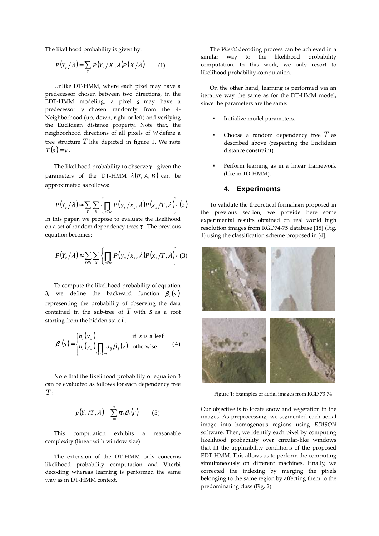The likelihood probability is given by:

$$
P(Y_r/\lambda) = \sum_{X} P(Y_r/X, \lambda) P(X/\lambda)
$$
 (1)

Unlike DT-HMM, where each pixel may have a predecessor chosen between two directions, in the EDT-HMM modeling, a pixel *s* may have a predecessor *v* chosen randomly from the 4- Neighborhood (up, down, right or left) and verifying the Euclidean distance property. Note that, the neighborhood directions of all pixels of *w* define a tree structure *T* like depicted in figure 1. We note  $T(s) = v$ .

The likelihood probability to observe*Y<sup>r</sup>* given the parameters of the DT-HMM  $\lambda(\pi, A, B)$  can be approximated as follows:

$$
P(Y_{r}/\lambda) \approx \sum_{T} \sum_{x} \left\{ \prod_{s \in w} P(y_{s}/x_{s}, \lambda) P(x_{s}/T, \lambda) \right\} (2)
$$

In this paper, we propose to evaluate the likelihood on a set of random dependency trees  $\tau$ . The previous equation becomes:

$$
P(Y_r/\lambda) \approx \sum_{T \in \tau} \sum_{X} \left\{ \prod_{s \in w} P(y_s/x_s, \lambda) P(x_s/T, \lambda) \right\} (3)
$$

To compute the likelihood probability of equation 3, we define the backward function  $\beta_i(s)$ representing the probability of observing the data contained in the sub-tree of  $T$  with  $S$  as a root starting from the hidden state *i* .

$$
\beta_i(s) = \begin{cases} b_i(y_s) & \text{if } s \text{ is a leaf} \\ b_i(y_s) \prod_{T(v)=s} a_{ij} \beta_j(v) & \text{otherwise} \end{cases}
$$
 (4)

Note that the likelihood probability of equation 3 can be evaluated as follows for each dependency tree  $T \cdot$ 

$$
p(Y_r/T, \lambda) = \sum_{i=1}^N \pi_i \beta_i(r) \qquad (5)
$$

This computation exhibits a reasonable complexity (linear with window size).

The extension of the DT-HMM only concerns likelihood probability computation and Viterbi decoding whereas learning is performed the same way as in DT-HMM context.

The *Viterbi* decoding process can be achieved in a similar way to the likelihood probability computation. In this work, we only resort to likelihood probability computation.

On the other hand, learning is performed via an iterative way the same as for the DT-HMM model, since the parameters are the same:

- -Initialize model parameters.
- - Choose a random dependency tree *T* as described above (respecting the Euclidean distance constraint).
- - Perform learning as in a linear framework (like in 1D-HMM).

#### **4. Experiments**

To validate the theoretical formalism proposed in the previous section, we provide here some experimental results obtained on real world high resolution images from RGD74-75 database [18] (Fig. 1) using the classification scheme proposed in [4].



Figure 1: Examples of aerial images from RGD 73-74

Our objective is to locate snow and vegetation in the images. As preprocessing, we segmented each aerial image into homogenous regions using *EDISON* software. Then, we identify each pixel by computing likelihood probability over circular-like windows that fit the applicability conditions of the proposed EDT-HMM. This allows us to perform the computing simultaneously on different machines. Finally, we corrected the indexing by merging the pixels belonging to the same region by affecting them to the predominating class (Fig. 2).